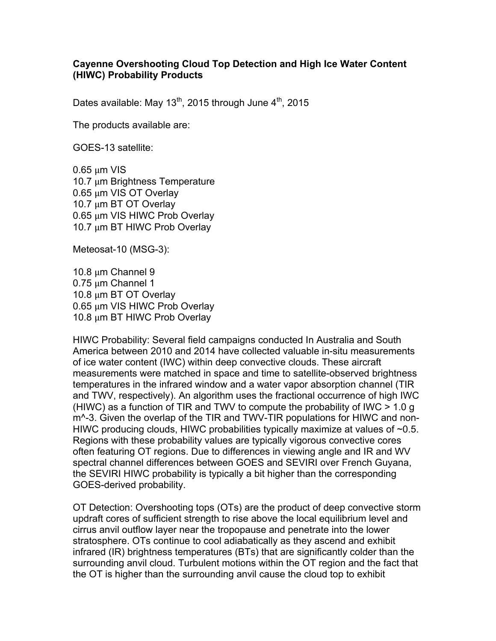## **Cayenne Overshooting Cloud Top Detection and High Ice Water Content (HIWC) Probability Products**

Dates available: May  $13^{th}$ , 2015 through June  $4^{th}$ , 2015

The products available are:

GOES-13 satellite:

0.65 μm VIS 10.7 μm Brightness Temperature 0.65 μm VIS OT Overlay 10.7 μm BT OT Overlay 0.65 μm VIS HIWC Prob Overlay 10.7 μm BT HIWC Prob Overlay

Meteosat-10 (MSG-3):

10.8 μm Channel 9 0.75 μm Channel 1 10.8 μm BT OT Overlay 0.65 μm VIS HIWC Prob Overlay 10.8 μm BT HIWC Prob Overlay

HIWC Probability: Several field campaigns conducted In Australia and South America between 2010 and 2014 have collected valuable in-situ measurements of ice water content (IWC) within deep convective clouds. These aircraft measurements were matched in space and time to satellite-observed brightness temperatures in the infrared window and a water vapor absorption channel (TIR and TWV, respectively). An algorithm uses the fractional occurrence of high IWC (HIWC) as a function of TIR and TWV to compute the probability of IWC > 1.0 g m^-3. Given the overlap of the TIR and TWV-TIR populations for HIWC and non-HIWC producing clouds, HIWC probabilities typically maximize at values of  $\sim 0.5$ . Regions with these probability values are typically vigorous convective cores often featuring OT regions. Due to differences in viewing angle and IR and WV spectral channel differences between GOES and SEVIRI over French Guyana, the SEVIRI HIWC probability is typically a bit higher than the corresponding GOES-derived probability.

OT Detection: Overshooting tops (OTs) are the product of deep convective storm updraft cores of sufficient strength to rise above the local equilibrium level and cirrus anvil outflow layer near the tropopause and penetrate into the lower stratosphere. OTs continue to cool adiabatically as they ascend and exhibit infrared (IR) brightness temperatures (BTs) that are significantly colder than the surrounding anvil cloud. Turbulent motions within the OT region and the fact that the OT is higher than the surrounding anvil cause the cloud top to exhibit